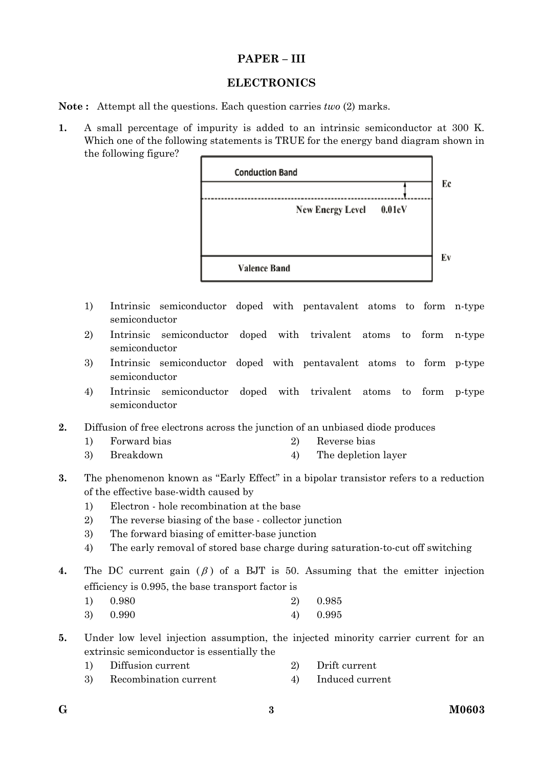## **PAPER – III**

## **ELECTRONICS**

**Note :** Attempt all the questions. Each question carries *two* (2) marks.

**1.** A small percentage of impurity is added to an intrinsic semiconductor at 300 K. Which one of the following statements is TRUE for the energy band diagram shown in the following figure?



- 1) Intrinsic semiconductor doped with pentavalent atoms to form n-type semiconductor
- 2) Intrinsic semiconductor doped with trivalent atoms to form n-type semiconductor
- 3) Intrinsic semiconductor doped with pentavalent atoms to form p-type semiconductor
- 4) Intrinsic semiconductor doped with trivalent atoms to form p-type semiconductor
- **2.** Diffusion of free electrons across the junction of an unbiased diode produces
	- 1) Forward bias 2) Reverse bias
	- 3) Breakdown 4) The depletion layer
- **3.** The phenomenon known as "Early Effect" in a bipolar transistor refers to a reduction of the effective base-width caused by
	- 1) Electron hole recombination at the base
	- 2) The reverse biasing of the base collector junction
	- 3) The forward biasing of emitter-base junction
	- 4) The early removal of stored base charge during saturation-to-cut off switching
- **4.** The DC current gain  $(\beta)$  of a BJT is 50. Assuming that the emitter injection efficiency is 0.995, the base transport factor is
	- 1) 0.980 2) 0.985 3) 0.990 4) 0.995

**5.** Under low level injection assumption, the injected minority carrier current for an extrinsic semiconductor is essentially the

- 1) Diffusion current 2) Drift current
- 3) Recombination current 4) Induced current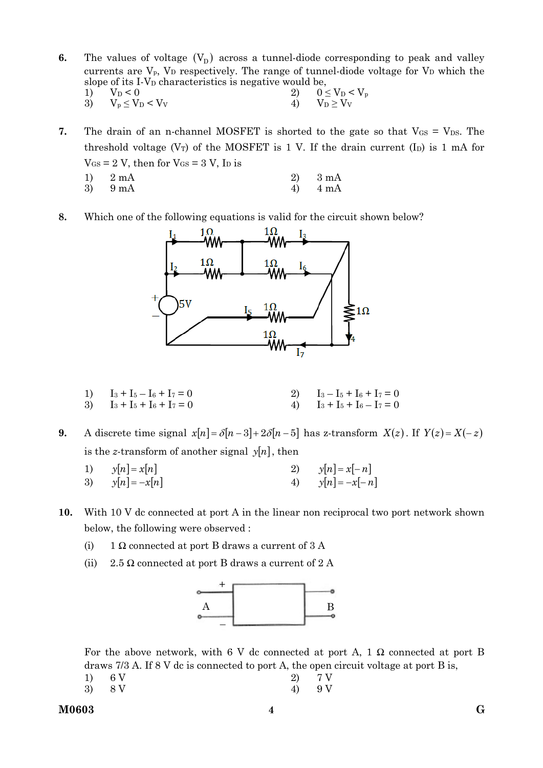- **6.** The values of voltage  $(V<sub>D</sub>)$  across a tunnel-diode corresponding to peak and valley currents are  $V_p$ ,  $V_p$  respectively. The range of tunnel-diode voltage for  $V_p$  which the slope of its I-V<sub>D</sub> characteristics is negative would be,
	- 1)  $V_D < 0$ <br>
	3)  $V_p \le V_D < V_V$ <br>
	4)  $V_D \ge V_V$ 3)  $V_p \le V_D < V_V$  4)
- **7.** The drain of an n-channel MOSFET is shorted to the gate so that  $V_{GS} = V_{DS}$ . The threshold voltage ( $V_T$ ) of the MOSFET is 1 V. If the drain current (I<sub>D</sub>) is 1 mA for  $V_{GS}$  = 2 V, then for  $V_{GS}$  = 3 V, I<sub>D</sub> is
	- 1) 2 mA 2) 3 mA 3) 9 mA  $4)$  4 mA
- **8.** Which one of the following equations is valid for the circuit shown below?



1)  $I_3 + I_5 - I_6 + I_7 = 0$  2)  $I_3 - I_5 + I_6 + I_7 = 0$ 3)  $I_3 + I_5 + I_6 + I_7 = 0$  4)  $I_3 + I_5 + I_6 - I_7 = 0$ 

**9.** A discrete time signal  $x[n] = \delta[n-3] + 2\delta[n-5]$  has z-transform  $X(z)$ . If  $Y(z) = X(-z)$ is the *z*-transform of another signal  $y[n]$ , then

- 1)  $y[n] = x[n]$  2)  $y[n] = x[-n]$ 3)  $y[n] = -x[n]$  4)  $y[n] = -x[-n]$
- **10.** With 10 V dc connected at port A in the linear non reciprocal two port network shown below, the following were observed :
	- (i) 1  $\Omega$  connected at port B draws a current of 3 A
	- (ii) 2.5  $\Omega$  connected at port B draws a current of 2 A



For the above network, with 6 V dc connected at port A, 1  $\Omega$  connected at port B draws 7/3 A. If 8 V dc is connected to port A, the open circuit voltage at port B is,

- 1) 6 V 2)  $7 \text{ V}$ 3)  $8 \text{ V}$  4)  $9 \text{ V}$
-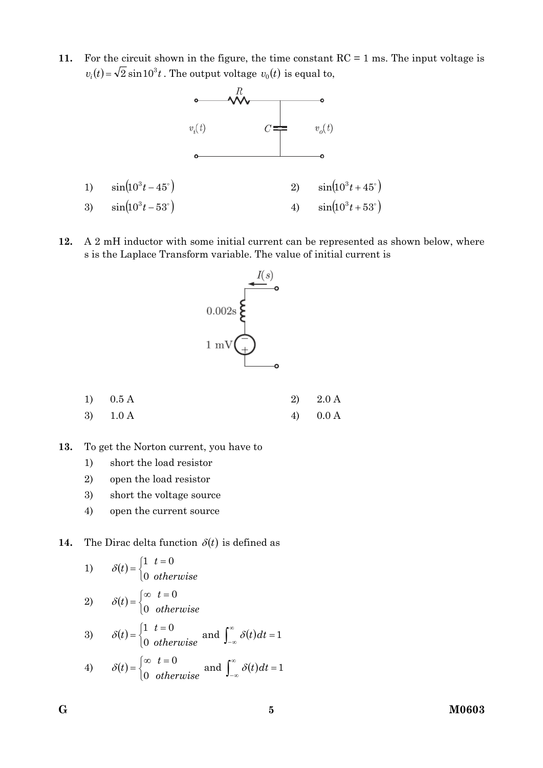**11.** For the circuit shown in the figure, the time constant RC = 1 ms. The input voltage is  $v_i(t) = \sqrt{2} \sin 10^3 t$ . The output voltage  $v_0(t)$  is equal to,



**12.** A 2 mH inductor with some initial current can be represented as shown below, where s is the Laplace Transform variable. The value of initial current is



| 1) $0.5 \text{ A}$ | 2) $2.0 \text{ A}$ |
|--------------------|--------------------|
| 3) $1.0 \text{ A}$ | 4) $0.0 \text{ A}$ |

**13.** To get the Norton current, you have to

1) short the load resistor

- 2) open the load resistor
- 3) short the voltage source
- 4) open the current source

**14.** The Dirac delta function  $\delta(t)$  is defined as

1) 
$$
\delta(t) = \begin{cases} 1 & t = 0 \\ 0 & otherwise \end{cases}
$$
  
2) 
$$
\delta(t) = \begin{cases} \infty & t = 0 \\ 0 & otherwise \end{cases}
$$
  
3) 
$$
\delta(t) = \begin{cases} 1 & t = 0 \\ 0 & otherwise \end{cases}
$$
 and 
$$
\int_{-\infty}^{\infty} \delta(t) dt = 1
$$
  
4) 
$$
\delta(t) = \begin{cases} \infty & t = 0 \\ 0 & otherwise \end{cases}
$$
 and 
$$
\int_{-\infty}^{\infty} \delta(t) dt = 1
$$

$$
\mathbf{G}^{\prime}
$$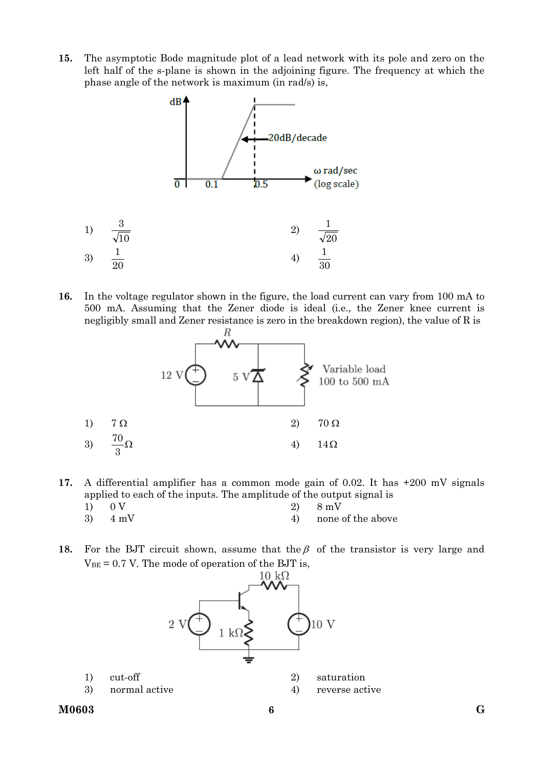**15.** The asymptotic Bode magnitude plot of a lead network with its pole and zero on the left half of the s-plane is shown in the adjoining figure. The frequency at which the phase angle of the network is maximum (in rad/s) is,



**16.** In the voltage regulator shown in the figure, the load current can vary from 100 mA to 500 mA. Assuming that the Zener diode is ideal (i.e., the Zener knee current is negligibly small and Zener resistance is zero in the breakdown region), the value of R is



- **17.** A differential amplifier has a common mode gain of 0.02. It has +200 mV signals applied to each of the inputs. The amplitude of the output signal is
	- 1) 0 V 2) 8 mV  $3)$  4 mV 4) none of the above
- **18.** For the BJT circuit shown, assume that the  $\beta$  of the transistor is very large and  $V_{BE} = 0.7$  V. The mode of operation of the BJT is,

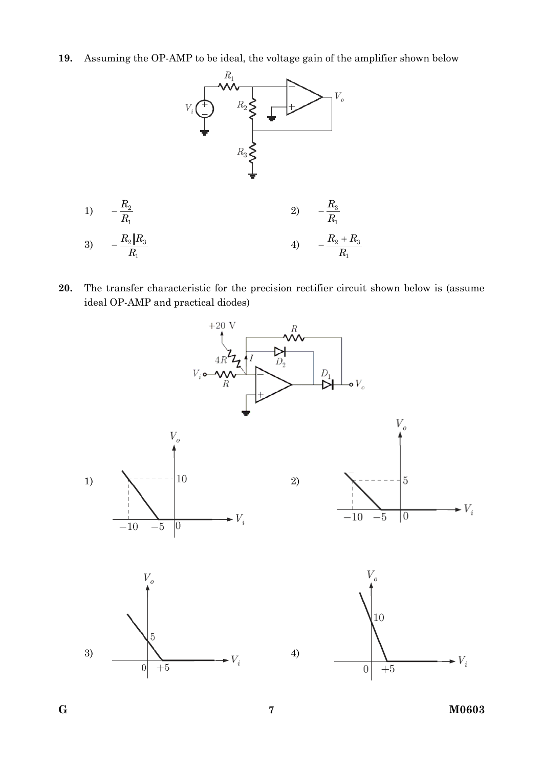**19.** Assuming the OP-AMP to be ideal, the voltage gain of the amplifier shown below



**20.** The transfer characteristic for the precision rectifier circuit shown below is (assume ideal OP-AMP and practical diodes)



**G 7 M0603**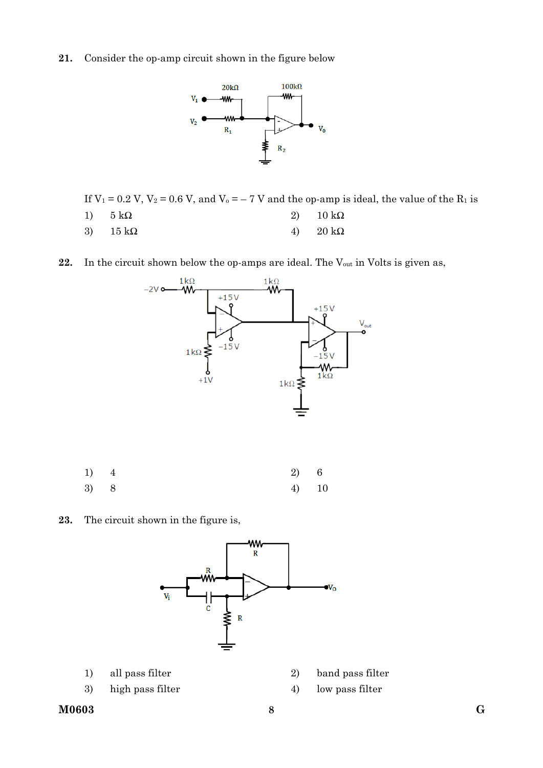**21.** Consider the op-amp circuit shown in the figure below



If  $V_1 = 0.2$  V,  $V_2 = 0.6$  V, and  $V_0 = -7$  V and the op-amp is ideal, the value of the  $R_1$  is

- 1)  $5 \text{ k}\Omega$  2)  $10 \text{ k}\Omega$
- 3)  $15 k\Omega$  4)  $20 k\Omega$
- 22. In the circuit shown below the op-amps are ideal. The V<sub>out</sub> in Volts is given as,



| $1)$ 4 |  | 2) 6  |  |
|--------|--|-------|--|
| 3) 8   |  | 4) 10 |  |

**23.** The circuit shown in the figure is,



- 
- 3) high pass filter 4) low pass filter
- 1) all pass filter 2) band pass filter
	-
- **M0603 G 8**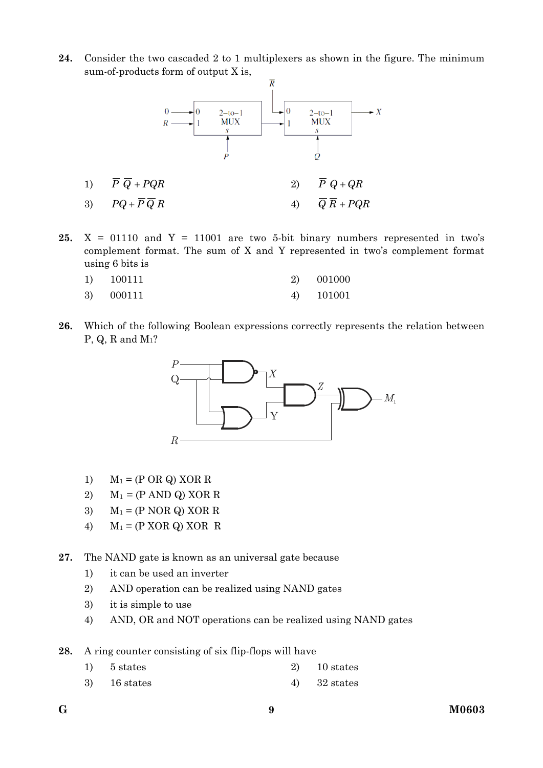**24.** Consider the two cascaded 2 to 1 multiplexers as shown in the figure. The minimum sum-of-products form of output X is,



**25.**  $X = 01110$  and  $Y = 11001$  are two 5-bit binary numbers represented in two's complement format. The sum of X and Y represented in two's complement format using 6 bits is

| 1) | 100111 | 2) 001000 |
|----|--------|-----------|
| 3) | 000111 | 101001    |

**26.** Which of the following Boolean expressions correctly represents the relation between P, Q, R and M1?



- 1)  $M_1 = (P \t{OR} \t{Q}) \t{XOR} \t{R}$
- 2)  $M_1 = (P \text{ AND } Q) \text{ XOR } R$
- 3)  $M_1 = (P \text{ NOR } Q) \text{ XOR } R$
- 4)  $M_1 = (P XOR Q) XOR R$

**27.** The NAND gate is known as an universal gate because

- 1) it can be used an inverter
- 2) AND operation can be realized using NAND gates
- 3) it is simple to use
- 4) AND, OR and NOT operations can be realized using NAND gates

**28.** A ring counter consisting of six flip-flops will have

- 1) 5 states 2) 10 states
- $3)$  16 states 4)  $32$  states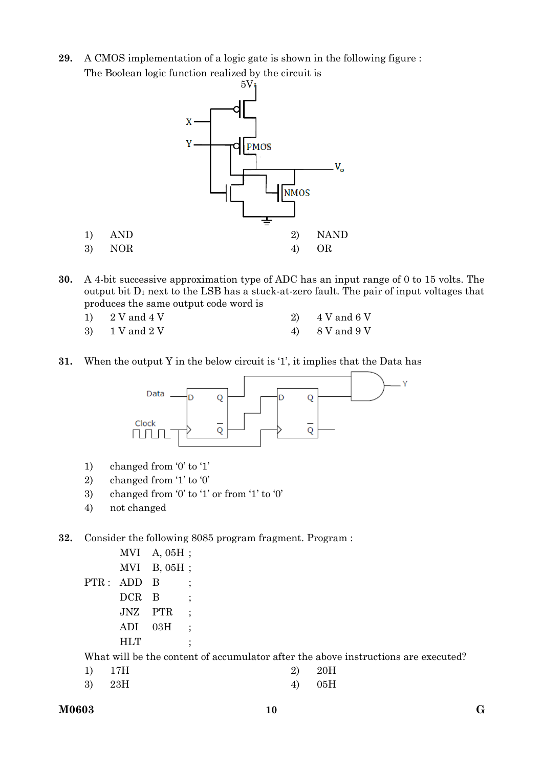**29.** A CMOS implementation of a logic gate is shown in the following figure : The Boolean logic function realized by the circuit is



- **30.** A 4-bit successive approximation type of ADC has an input range of 0 to 15 volts. The output bit  $D_1$  next to the LSB has a stuck-at-zero fault. The pair of input voltages that produces the same output code word is
	- 1)  $2 \text{ V}$  and  $4 \text{ V}$   $2)$   $4 \text{ V}$  and  $6 \text{ V}$  $3)$  1 V and 2 V 4) 8 V and 9 V
	-
- 
- **31.** When the output Y in the below circuit is '1', it implies that the Data has



- 1) changed from '0' to '1'
- 2) changed from '1' to '0'
- 3) changed from '0' to '1' or from '1' to '0'
- 4) not changed
- **32.** Consider the following 8085 program fragment. Program :

 MVI A, 05H ; MVI B, 05H ; PTR: ADD B ; DCR B JNZ PTR ; ADI 03H ; HLT ;

What will be the content of accumulator after the above instructions are executed?

| 1) 17H | 2) 20H |
|--------|--------|
| 3) 23H | 4) 05H |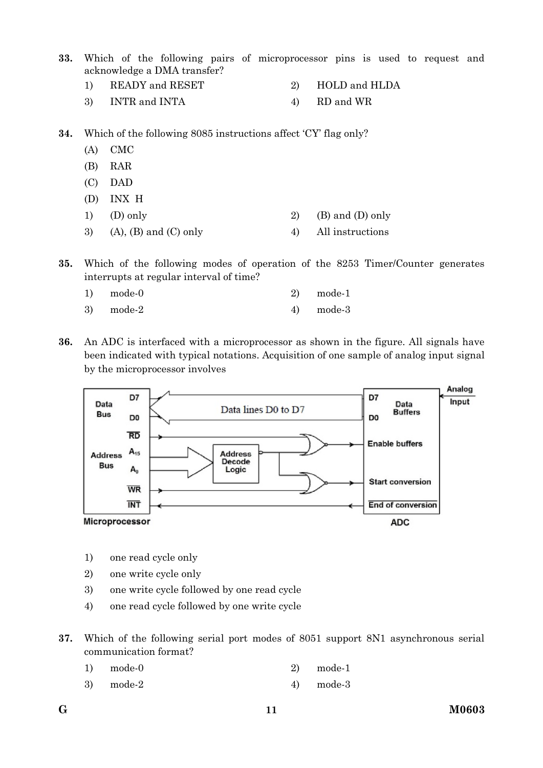**33.** Which of the following pairs of microprocessor pins is used to request and acknowledge a DMA transfer?

- 1) READY and RESET 2) HOLD and HLDA
- 3) INTR and INTA 4) RD and WR

**34.** Which of the following 8085 instructions affect 'CY' flag only?

- (A) CMC
- (B) RAR
- (C) DAD
- (D) INX H
- 1) (D) only 2) (B) and (D) only
- 3) (A), (B) and (C) only  $\qquad \qquad$  4) All instructions
- **35.** Which of the following modes of operation of the 8253 Timer/Counter generates interrupts at regular interval of time?
	- 1) mode-0 2) mode-1
	- $3) \qquad \text{mode-}2 \qquad \text{4)} \qquad \text{mode-}3$
- **36.** An ADC is interfaced with a microprocessor as shown in the figure. All signals have been indicated with typical notations. Acquisition of one sample of analog input signal by the microprocessor involves



- 1) one read cycle only
- 2) one write cycle only
- 3) one write cycle followed by one read cycle
- 4) one read cycle followed by one write cycle
- **37.** Which of the following serial port modes of 8051 support 8N1 asynchronous serial communication format?

| 1)<br>mode-0 |  |  | $2)$ mode-1 |
|--------------|--|--|-------------|
|--------------|--|--|-------------|

3) mode-2 4) mode-3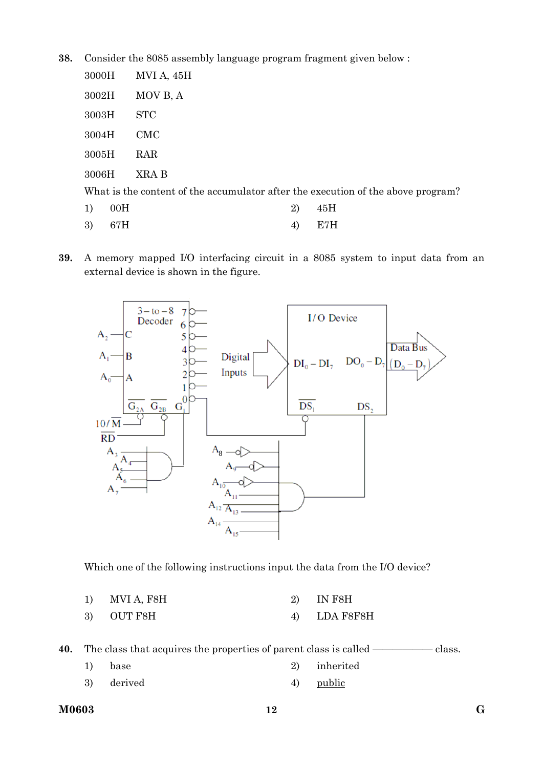**38.** Consider the 8085 assembly language program fragment given below :

| 3000H     | MVI A, 45H                                                                       |
|-----------|----------------------------------------------------------------------------------|
| 3002H     | MOV B, A                                                                         |
| 3003H     | <b>STC</b>                                                                       |
| 3004H     | CMC                                                                              |
| 3005H     | RAR                                                                              |
| 3006H     | XRA B                                                                            |
|           | What is the content of the accumulator after the execution of the above program? |
| 00H<br>1) | 45H<br>2)                                                                        |

- 3) 67H 4) E7H
- **39.** A memory mapped I/O interfacing circuit in a 8085 system to input data from an external device is shown in the figure.



Which one of the following instructions input the data from the I/O device?

| MVI A, F8H<br>$ -$ | IN F8H |  |
|--------------------|--------|--|
|--------------------|--------|--|

3) OUT F8H 4) LDA F8F8H

**40.** The class that acquires the properties of parent class is called ——————— class.

| 1) | base       | 2) inherited |
|----|------------|--------------|
|    | 3) derived | 4) public    |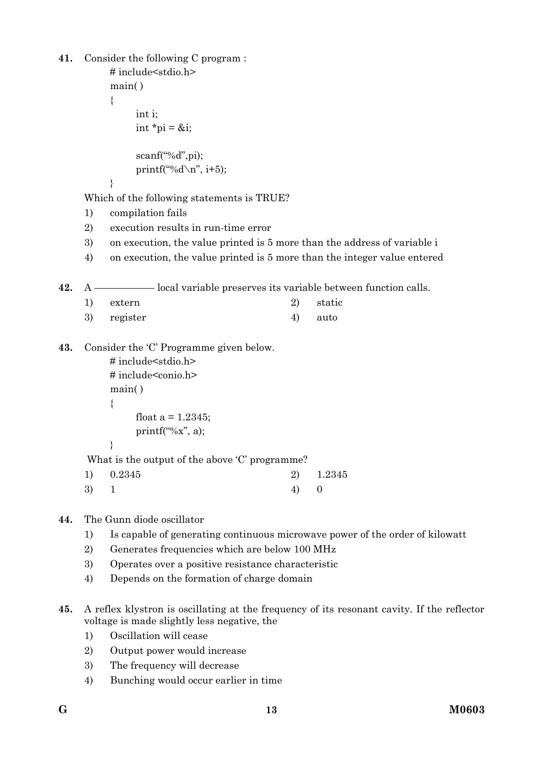```
41. Consider the following C program : 
          # include<stdio.h> 
          main( ) 
          { 
               int i; 
              int *pi = &i;
               scanf("%d",pi); 
              printf("%d\n\alpha", i+5);
          } 
    Which of the following statements is TRUE? 
    1) compilation fails 
    2) execution results in run-time error 
    3) on execution, the value printed is 5 more than the address of variable i 
    4) on execution, the value printed is 5 more than the integer value entered 
42. A —————— local variable preserves its variable between function calls. 
    1) extern 2) static 
    3) register 4) auto
43. Consider the 'C' Programme given below. 
          # include<stdio.h> 
          # include<conio.h> 
          main( ) 
          { 
              float a = 1.2345:
              printf("%x", a);
          } 
      What is the output of the above 'C' programme? 
    1) 0.2345 2) 1.2345 
     3) 1 4) 0
44. The Gunn diode oscillator
```
- 1) Is capable of generating continuous microwave power of the order of kilowatt
- 2) Generates frequencies which are below 100 MHz
- 3) Operates over a positive resistance characteristic
- 4) Depends on the formation of charge domain
- **45.** A reflex klystron is oscillating at the frequency of its resonant cavity. If the reflector voltage is made slightly less negative, the
	- 1) Oscillation will cease
	- 2) Output power would increase
	- 3) The frequency will decrease
	- 4) Bunching would occur earlier in time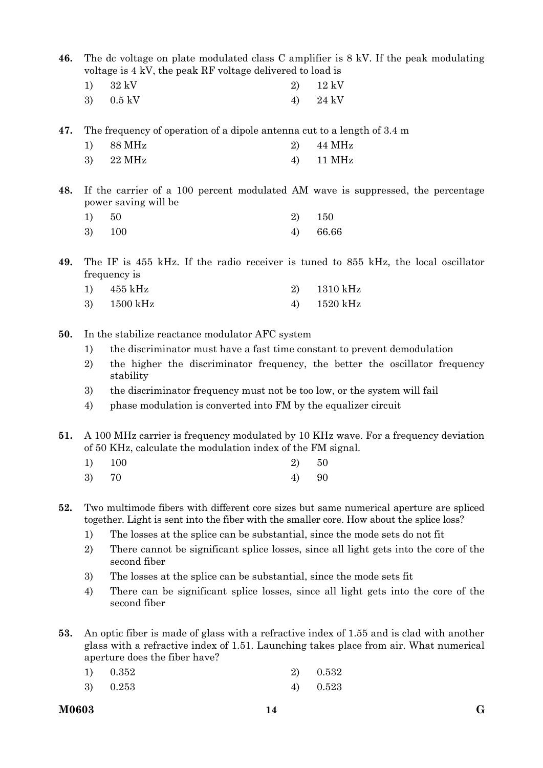**46.** The dc voltage on plate modulated class C amplifier is 8 kV. If the peak modulating voltage is 4 kV, the peak RF voltage delivered to load is

| $1)$ $32 \text{ kV}$ | 2) $12 \text{ kV}$ |
|----------------------|--------------------|
| 3) $0.5 \text{ kV}$  | 4) $24 \text{ kV}$ |

**47.** The frequency of operation of a dipole antenna cut to a length of 3.4 m

| $1)$ 88 MHz | 2) $44 \text{ MHz}$ |
|-------------|---------------------|
| $3)$ 22 MHz | $4)$ 11 MHz         |

**48.** If the carrier of a 100 percent modulated AM wave is suppressed, the percentage power saving will be

| 1) 50  | 2) 150   |
|--------|----------|
| 3) 100 | 4) 66.66 |

**49.** The IF is 455 kHz. If the radio receiver is tuned to 855 kHz, the local oscillator frequency is

| 1) $455 \text{ kHz}$ | 2) $1310 \text{ kHz}$ |
|----------------------|-----------------------|
| 3) 1500 kHz          | 4) $1520 \text{ kHz}$ |

- **50.** In the stabilize reactance modulator AFC system
	- 1) the discriminator must have a fast time constant to prevent demodulation
	- 2) the higher the discriminator frequency, the better the oscillator frequency stability
	- 3) the discriminator frequency must not be too low, or the system will fail
	- 4) phase modulation is converted into FM by the equalizer circuit

**51.** A 100 MHz carrier is frequency modulated by 10 KHz wave. For a frequency deviation of 50 KHz, calculate the modulation index of the FM signal.

| 1) 100 | 2) 50 |  |
|--------|-------|--|
|        |       |  |

3) 70 4) 90

**52.** Two multimode fibers with different core sizes but same numerical aperture are spliced together. Light is sent into the fiber with the smaller core. How about the splice loss?

- 1) The losses at the splice can be substantial, since the mode sets do not fit
- 2) There cannot be significant splice losses, since all light gets into the core of the second fiber
- 3) The losses at the splice can be substantial, since the mode sets fit
- 4) There can be significant splice losses, since all light gets into the core of the second fiber
- **53.** An optic fiber is made of glass with a refractive index of 1.55 and is clad with another glass with a refractive index of 1.51. Launching takes place from air. What numerical aperture does the fiber have?

| 1) 0.352 | 2) 0.532   |
|----------|------------|
| 3) 0.253 | 4) $0.523$ |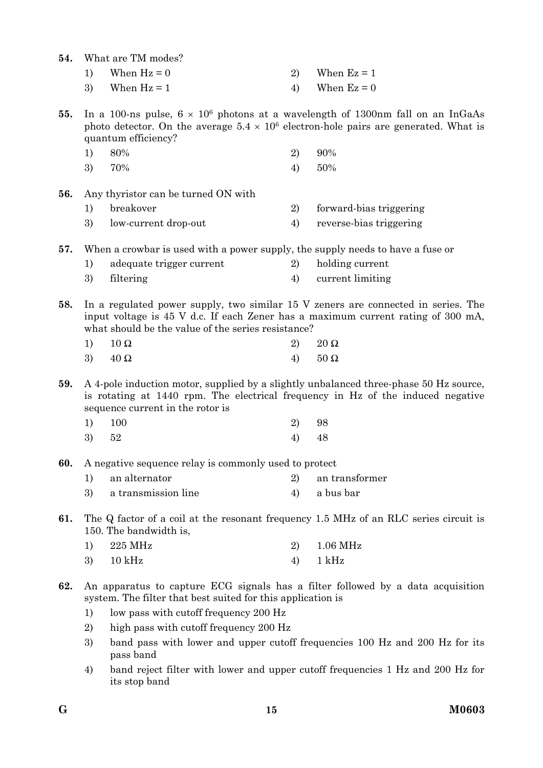| 54. |          | What are TM modes?                                                                                                                                                                                                                                               |    |                         |  |  |  |
|-----|----------|------------------------------------------------------------------------------------------------------------------------------------------------------------------------------------------------------------------------------------------------------------------|----|-------------------------|--|--|--|
|     | 1)       | When $Hz = 0$                                                                                                                                                                                                                                                    | 2) | When $Ez = 1$           |  |  |  |
|     | 3)       | When $Hz = 1$                                                                                                                                                                                                                                                    | 4) | When $Ez = 0$           |  |  |  |
| 55. |          | In a 100-ns pulse, $6 \times 10^6$ photons at a wavelength of 1300nm fall on an InGaAs<br>photo detector. On the average $5.4 \times 10^6$ electron-hole pairs are generated. What is<br>quantum efficiency?                                                     |    |                         |  |  |  |
|     | 1)       | 80%                                                                                                                                                                                                                                                              | 2) | 90%                     |  |  |  |
|     | 3)       | 70%                                                                                                                                                                                                                                                              | 4) | 50%                     |  |  |  |
| 56. |          | Any thyristor can be turned ON with                                                                                                                                                                                                                              |    |                         |  |  |  |
|     | 1)       | breakover                                                                                                                                                                                                                                                        | 2) | forward-bias triggering |  |  |  |
|     | 3)       | low-current drop-out                                                                                                                                                                                                                                             | 4) | reverse-bias triggering |  |  |  |
| 57. |          | When a crowbar is used with a power supply, the supply needs to have a fuse or                                                                                                                                                                                   |    |                         |  |  |  |
|     | 1)       | adequate trigger current                                                                                                                                                                                                                                         | 2) | holding current         |  |  |  |
|     | 3)       | filtering                                                                                                                                                                                                                                                        | 4) | current limiting        |  |  |  |
| 58. | 1)       | In a regulated power supply, two similar 15 V zeners are connected in series. The<br>input voltage is 45 V d.c. If each Zener has a maximum current rating of 300 mA,<br>what should be the value of the series resistance?<br>$20 \Omega$<br>$10\ \Omega$<br>2) |    |                         |  |  |  |
|     | 3)       | $40\ \Omega$                                                                                                                                                                                                                                                     | 4) | $50\ \Omega$            |  |  |  |
| 59. |          | A 4-pole induction motor, supplied by a slightly unbalanced three-phase 50 Hz source,<br>is rotating at 1440 rpm. The electrical frequency in Hz of the induced negative<br>sequence current in the rotor is                                                     |    |                         |  |  |  |
|     | 1)       | 100                                                                                                                                                                                                                                                              | 2) | 98                      |  |  |  |
|     | 3)       | 52                                                                                                                                                                                                                                                               | 4) | 48                      |  |  |  |
| 60. |          | A negative sequence relay is commonly used to protect                                                                                                                                                                                                            |    |                         |  |  |  |
|     | 1)       | an alternator                                                                                                                                                                                                                                                    | 2) | an transformer          |  |  |  |
|     | 3)       | a transmission line                                                                                                                                                                                                                                              | 4) | a bus bar               |  |  |  |
| 61. |          | The Q factor of a coil at the resonant frequency 1.5 MHz of an RLC series circuit is<br>150. The bandwidth is,                                                                                                                                                   |    |                         |  |  |  |
|     | 1)       | 225 MHz                                                                                                                                                                                                                                                          | 2) | 1.06 MHz                |  |  |  |
|     | 3)       | $10$ kHz                                                                                                                                                                                                                                                         | 4) | $1$ kHz                 |  |  |  |
| 62. | 1)<br>2) | An apparatus to capture ECG signals has a filter followed by a data acquisition<br>system. The filter that best suited for this application is<br>low pass with cutoff frequency 200 Hz<br>high pass with cutoff frequency 200 Hz                                |    |                         |  |  |  |
|     | 3)       | band pass with lower and upper cutoff frequencies 100 Hz and 200 Hz for its<br>pass band                                                                                                                                                                         |    |                         |  |  |  |
|     | 4)       | band reject filter with lower and upper cutoff frequencies 1 Hz and 200 Hz for<br>its stop band                                                                                                                                                                  |    |                         |  |  |  |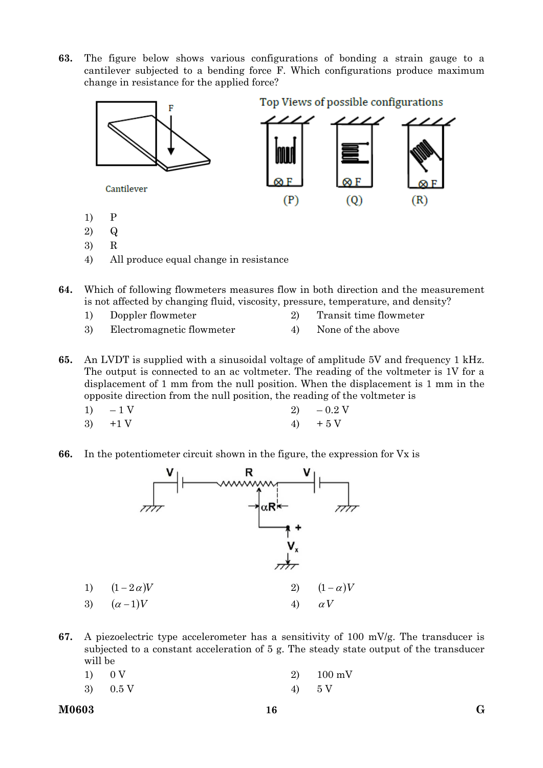**63.** The figure below shows various configurations of bonding a strain gauge to a cantilever subjected to a bending force F. Which configurations produce maximum change in resistance for the applied force?



- **64.** Which of following flowmeters measures flow in both direction and the measurement is not affected by changing fluid, viscosity, pressure, temperature, and density?
	- 1) Doppler flowmeter 2) Transit time flowmeter
	- 3) Electromagnetic flowmeter 4) None of the above

**65.** An LVDT is supplied with a sinusoidal voltage of amplitude 5V and frequency 1 kHz. The output is connected to an ac voltmeter. The reading of the voltmeter is 1V for a displacement of 1 mm from the null position. When the displacement is 1 mm in the opposite direction from the null position, the reading of the voltmeter is

- 1) 1 V 2)  $0.2$  V
- 3)  $+1 \text{ V}$  4)  $+5 \text{ V}$

**66.** In the potentiometer circuit shown in the figure, the expression for Vx is



**67.** A piezoelectric type accelerometer has a sensitivity of 100 mV/g. The transducer is subjected to a constant acceleration of 5 g. The steady state output of the transducer will be

| 1) 0 V             | 2) $100 \text{ mV}$ |
|--------------------|---------------------|
| 3) $0.5 \text{ V}$ | 4) 5V               |

**M0603 G 16**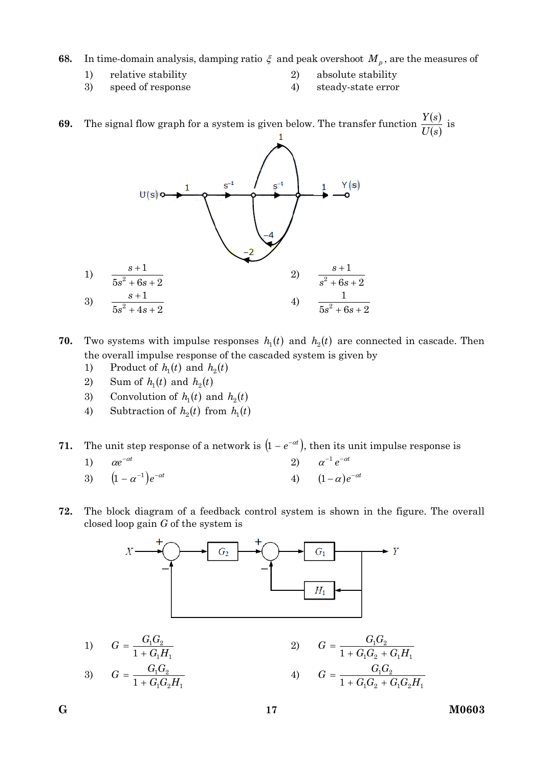**68.** In time-domain analysis, damping ratio  $\xi$  and peak overshoot  $M_p$ , are the measures of

- 1) relative stability 20 absolute stability
	-
- 3) speed of response 4) steady-state error
- 

**69.** The signal flow graph for a system is given below. The transfer function  $\frac{Y(s)}{X(s)}$  $U(s)$  $\frac{Y(s)}{Y(s)}$  is



**70.** Two systems with impulse responses  $h_1(t)$  and  $h_2(t)$  are connected in cascade. Then the overall impulse response of the cascaded system is given by

- 1) Product of  $h_1(t)$  and  $h_2(t)$
- 2) Sum of  $h_1(t)$  and  $h_2(t)$
- 3) Convolution of  $h_1(t)$  and  $h_2(t)$
- 4) Subtraction of  $h_2(t)$  from  $h_1(t)$

**71.** The unit step response of a network is  $(1 - e^{-\alpha t})$ , then its unit impulse response is

1) 
$$
\alpha e^{-\alpha t}
$$
  
\n2)  $\alpha^{-1} e^{-\alpha t}$   
\n3)  $(1 - \alpha^{-1})e^{-\alpha t}$   
\n4)  $(1 - \alpha)e^{-\alpha t}$ 

**72.** The block diagram of a feedback control system is shown in the figure. The overall closed loop gain *G* of the system is



1) 
$$
G = \frac{G_1 G_2}{1 + G_1 H_1}
$$
  
\n2)  $G = \frac{G_1 G_2}{1 + G_1 G_2 H_1}$   
\n3)  $G = \frac{G_1 G_2}{1 + G_1 G_2 H_1}$   
\n4)  $G = \frac{G_1 G_2}{1 + G_1 G_2 + G_1 G_2 H_1}$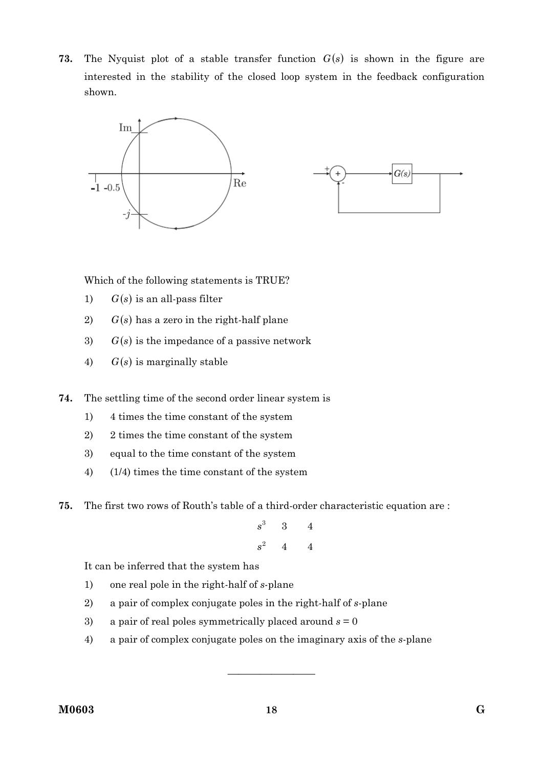**73.** The Nyquist plot of a stable transfer function *Gs* is shown in the figure are interested in the stability of the closed loop system in the feedback configuration shown.



Which of the following statements is TRUE?

- 1)  $G(s)$  is an all-pass filter
- 2)  $G(s)$  has a zero in the right-half plane
- 3)  $G(s)$  is the impedance of a passive network
- 4)  $G(s)$  is marginally stable

**74.** The settling time of the second order linear system is

- 1) 4 times the time constant of the system
- 2) 2 times the time constant of the system
- 3) equal to the time constant of the system
- 4) (1/4) times the time constant of the system
- **75.** The first two rows of Routh's table of a third-order characteristic equation are :

$$
\begin{array}{ccc}\ns^3 & 3 & 4\\
s^2 & 4 & 4\n\end{array}
$$

It can be inferred that the system has

- 1) one real pole in the right-half of *s*-plane
- 2) a pair of complex conjugate poles in the right-half of *s*-plane
- 3) a pair of real poles symmetrically placed around *s* = 0
- 4) a pair of complex conjugate poles on the imaginary axis of the *s*-plane

————————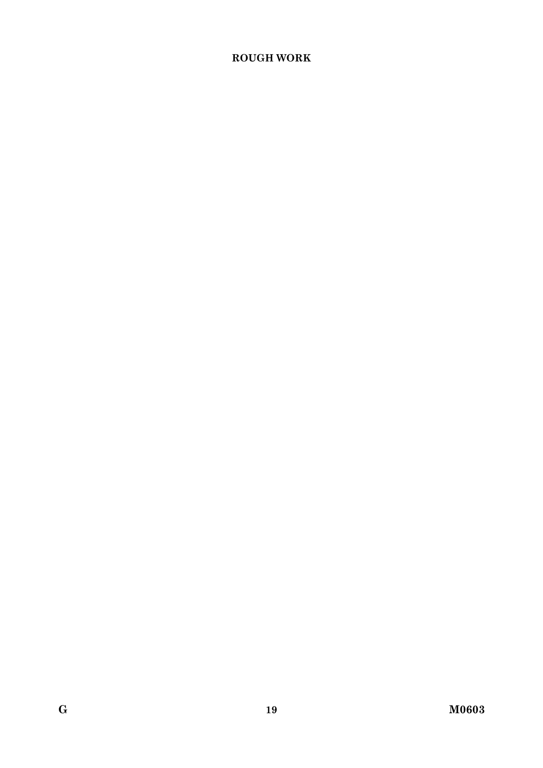## **ROUGH WORK**